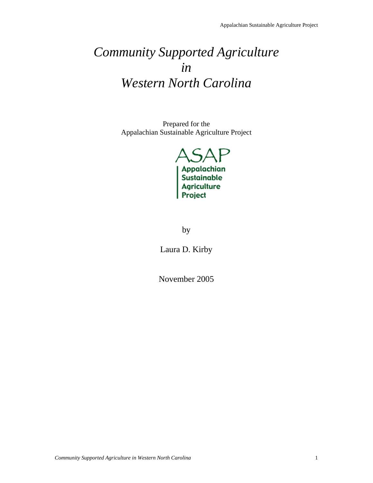# *Community Supported Agriculture in Western North Carolina*

Prepared for the Appalachian Sustainable Agriculture Project



by

Laura D. Kirby

November 2005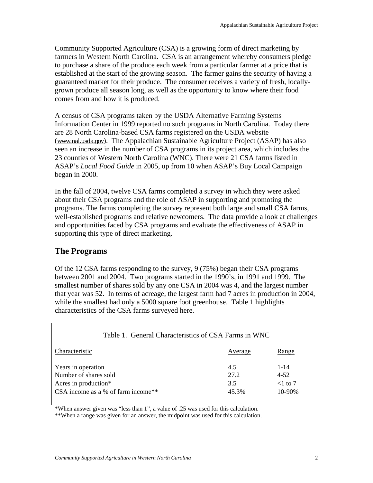Community Supported Agriculture (CSA) is a growing form of direct marketing by farmers in Western North Carolina. CSA is an arrangement whereby consumers pledge to purchase a share of the produce each week from a particular farmer at a price that is established at the start of the growing season. The farmer gains the security of having a guaranteed market for their produce. The consumer receives a variety of fresh, locallygrown produce all season long, as well as the opportunity to know where their food comes from and how it is produced.

A census of CSA programs taken by the USDA Alternative Farming Systems Information Center in 1999 reported no such programs in North Carolina. Today there are 28 North Carolina-based CSA farms registered on the USDA website (www.nal.usda.gov). The Appalachian Sustainable Agriculture Project (ASAP) has also seen an increase in the number of CSA programs in its project area, which includes the 23 counties of Western North Carolina (WNC). There were 21 CSA farms listed in ASAP's *Local Food Guide* in 2005, up from 10 when ASAP's Buy Local Campaign began in 2000.

In the fall of 2004, twelve CSA farms completed a survey in which they were asked about their CSA programs and the role of ASAP in supporting and promoting the programs. The farms completing the survey represent both large and small CSA farms, well-established programs and relative newcomers. The data provide a look at challenges and opportunities faced by CSA programs and evaluate the effectiveness of ASAP in supporting this type of direct marketing.

### **The Programs**

Of the 12 CSA farms responding to the survey, 9 (75%) began their CSA programs between 2001 and 2004. Two programs started in the 1990's, in 1991 and 1999. The smallest number of shares sold by any one CSA in 2004 was 4, and the largest number that year was 52. In terms of acreage, the largest farm had 7 acres in production in 2004, while the smallest had only a 5000 square foot greenhouse. Table 1 highlights characteristics of the CSA farms surveyed here.

| Table 1. General Characteristics of CSA Farms in WNC                                                      |                             |                                                  |
|-----------------------------------------------------------------------------------------------------------|-----------------------------|--------------------------------------------------|
| Characteristic                                                                                            | Average                     | Range                                            |
| Years in operation<br>Number of shares sold<br>Acres in production*<br>CSA income as a % of farm income** | 4.5<br>27.2<br>3.5<br>45.3% | $1 - 14$<br>$4 - 52$<br>$<$ 1 to 7<br>$10 - 90%$ |

\*When answer given was "less than 1", a value of .25 was used for this calculation.

\*\*When a range was given for an answer, the midpoint was used for this calculation.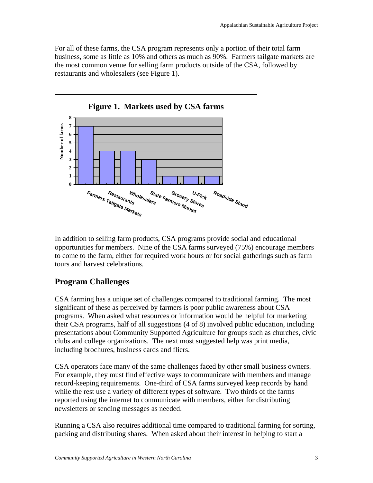For all of these farms, the CSA program represents only a portion of their total farm business, some as little as 10% and others as much as 90%. Farmers tailgate markets are the most common venue for selling farm products outside of the CSA, followed by restaurants and wholesalers (see Figure 1).



In addition to selling farm products, CSA programs provide social and educational opportunities for members. Nine of the CSA farms surveyed (75%) encourage members to come to the farm, either for required work hours or for social gatherings such as farm tours and harvest celebrations.

## **Program Challenges**

CSA farming has a unique set of challenges compared to traditional farming. The most significant of these as perceived by farmers is poor public awareness about CSA programs. When asked what resources or information would be helpful for marketing their CSA programs, half of all suggestions (4 of 8) involved public education, including presentations about Community Supported Agriculture for groups such as churches, civic clubs and college organizations. The next most suggested help was print media, including brochures, business cards and fliers.

CSA operators face many of the same challenges faced by other small business owners. For example, they must find effective ways to communicate with members and manage record-keeping requirements. One-third of CSA farms surveyed keep records by hand while the rest use a variety of different types of software. Two thirds of the farms reported using the internet to communicate with members, either for distributing newsletters or sending messages as needed.

Running a CSA also requires additional time compared to traditional farming for sorting, packing and distributing shares. When asked about their interest in helping to start a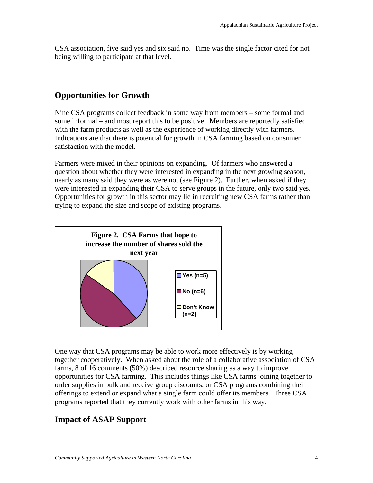CSA association, five said yes and six said no. Time was the single factor cited for not being willing to participate at that level.

#### **Opportunities for Growth**

Nine CSA programs collect feedback in some way from members – some formal and some informal – and most report this to be positive. Members are reportedly satisfied with the farm products as well as the experience of working directly with farmers. Indications are that there is potential for growth in CSA farming based on consumer satisfaction with the model.

Farmers were mixed in their opinions on expanding. Of farmers who answered a question about whether they were interested in expanding in the next growing season, nearly as many said they were as were not (see Figure 2). Further, when asked if they were interested in expanding their CSA to serve groups in the future, only two said yes. Opportunities for growth in this sector may lie in recruiting new CSA farms rather than trying to expand the size and scope of existing programs.



One way that CSA programs may be able to work more effectively is by working together cooperatively. When asked about the role of a collaborative association of CSA farms, 8 of 16 comments (50%) described resource sharing as a way to improve opportunities for CSA farming. This includes things like CSA farms joining together to order supplies in bulk and receive group discounts, or CSA programs combining their offerings to extend or expand what a single farm could offer its members. Three CSA programs reported that they currently work with other farms in this way.

## **Impact of ASAP Support**